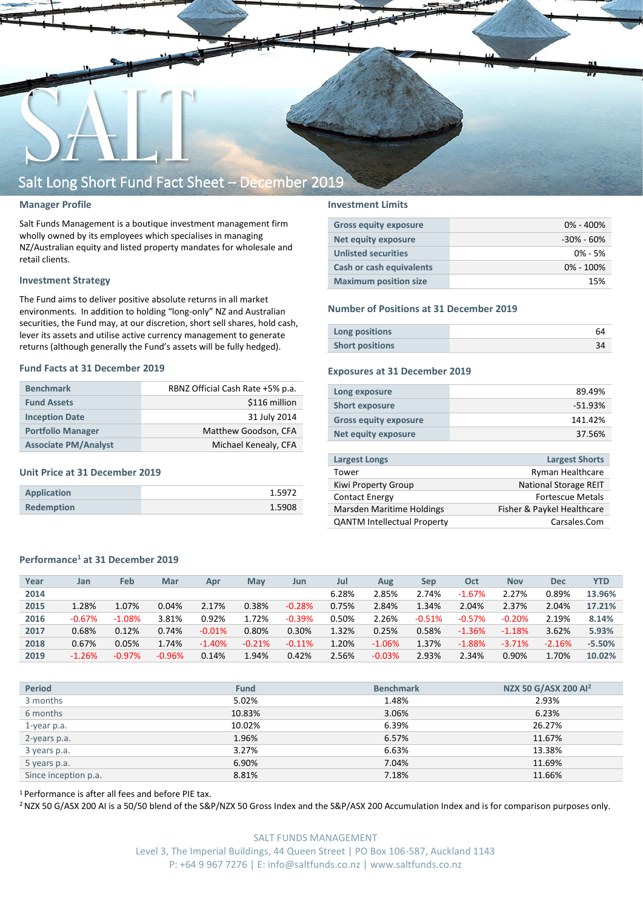

#### **Manager Profile**

Salt Funds Management is a boutique investment management firm wholly owned by its employees which specialises in managing NZ/Australian equity and listed property mandates for wholesale and retail clients.

#### **Investment Strategy**

The Fund aims to deliver positive absolute returns in all market environments. In addition to holding "long-only" NZ and Australian securities, the Fund may, at our discretion, short sell shares, hold cash, lever its assets and utilise active currency management to generate returns (although generally the Fund's assets will be fully hedged).

#### **Fund Facts at 31 December 2019**

| <b>Benchmark</b>            | RBNZ Official Cash Rate +5% p.a. |  |  |  |  |
|-----------------------------|----------------------------------|--|--|--|--|
| <b>Fund Assets</b>          | \$116 million                    |  |  |  |  |
| <b>Inception Date</b>       | 31 July 2014                     |  |  |  |  |
| <b>Portfolio Manager</b>    | Matthew Goodson, CFA             |  |  |  |  |
| <b>Associate PM/Analyst</b> | Michael Kenealy, CFA             |  |  |  |  |

#### **Unit Price at 31 December 2019**

| Application       | 1.5972 |
|-------------------|--------|
| <b>Redemption</b> | 1.5908 |

#### **Investment Limits**

| <b>Gross equity exposure</b> | $0\% - 400\%$  |
|------------------------------|----------------|
| Net equity exposure          | $-30\% - 60\%$ |
| <b>Unlisted securities</b>   | $0\% - 5\%$    |
| Cash or cash equivalents     | $0\% - 100\%$  |
| <b>Maximum position size</b> | 15%            |

#### **Number of Positions at 31 December 2019**

| Long positions         |  |
|------------------------|--|
| <b>Short positions</b> |  |

#### **Exposures at 31 December 2019**

| Long exposure                | 89.49%    |
|------------------------------|-----------|
| <b>Short exposure</b>        | $-51.93%$ |
| <b>Gross equity exposure</b> | 141.42%   |
| <b>Net equity exposure</b>   | 37.56%    |
|                              |           |

| <b>Largest Longs</b>               | <b>Largest Shorts</b>        |
|------------------------------------|------------------------------|
| Tower                              | Ryman Healthcare             |
| Kiwi Property Group                | <b>National Storage REIT</b> |
| <b>Contact Energy</b>              | <b>Fortescue Metals</b>      |
| Marsden Maritime Holdings          | Fisher & Paykel Healthcare   |
| <b>QANTM Intellectual Property</b> | Carsales.Com                 |

### **Performance<sup>1</sup> at 31 December 2019**

| Year | Jan      | Feb      | Mar      | Apr      | Mav      | Jun      | Jul   | Aug      | Sep      | Oct      | <b>Nov</b> | <b>Dec</b> | YTD      |
|------|----------|----------|----------|----------|----------|----------|-------|----------|----------|----------|------------|------------|----------|
| 2014 |          |          |          |          |          |          | 6.28% | 2.85%    | 2.74%    | $-1.67%$ | 2.27%      | 0.89%      | 13.96%   |
| 2015 | 1.28%    | 1.07%    | 0.04%    | 2.17%    | 0.38%    | $-0.28%$ | 0.75% | 2.84%    | 1.34%    | 2.04%    | 2.37%      | 2.04%      | 17.21%   |
| 2016 | $-0.67%$ | $-1.08%$ | 3.81%    | 0.92%    | 1.72%    | $-0.39%$ | 0.50% | 2.26%    | $-0.51%$ | $-0.57%$ | $-0.20%$   | 2.19%      | 8.14%    |
| 2017 | 0.68%    | 0.12%    | 0.74%    | $-0.01%$ | 0.80%    | 0.30%    | 1.32% | 0.25%    | 0.58%    | $-1.36%$ | $-1.18%$   | 3.62%      | 5.93%    |
| 2018 | 0.67%    | 0.05%    | 1.74%    | $-1.40%$ | $-0.21%$ | $-0.11%$ | 1.20% | $-1.06%$ | 1.37%    | $-1.88%$ | $-3.71%$   | $-2.16%$   | $-5.50%$ |
| 2019 | $-1.26%$ | $-0.97%$ | $-0.96%$ | 0.14%    | 1.94%    | 0.42%    | 2.56% | $-0.03%$ | 2.93%    | 2.34%    | 0.90%      | 1.70%      | 10.02%   |

| <b>Period</b>        | <b>Fund</b> | <b>Benchmark</b> | NZX 50 G/ASX 200 Al <sup>2</sup> |
|----------------------|-------------|------------------|----------------------------------|
| 3 months             | 5.02%       | 1.48%            | 2.93%                            |
| 6 months             | 10.83%      | 3.06%            | 6.23%                            |
| 1-year p.a.          | 10.02%      | 6.39%            | 26.27%                           |
| 2-years p.a.         | 1.96%       | 6.57%            | 11.67%                           |
| 3 years p.a.         | 3.27%       | 6.63%            | 13.38%                           |
| 5 years p.a.         | 6.90%       | 7.04%            | 11.69%                           |
| Since inception p.a. | 8.81%       | 7.18%            | 11.66%                           |

<sup>1</sup> Performance is after all fees and before PIE tax.

<sup>2</sup> NZX 50 G/ASX 200 AI is a 50/50 blend of the S&P/NZX 50 Gross Index and the S&P/ASX 200 Accumulation Index and is for comparison purposes only.

SALT FUNDS MANAGEMENT Level 3, The Imperial Buildings, 44 Queen Street | PO Box 106-587, Auckland 1143 P: +64 9 967 7276 | E: info@saltfunds.co.nz | www.saltfunds.co.nz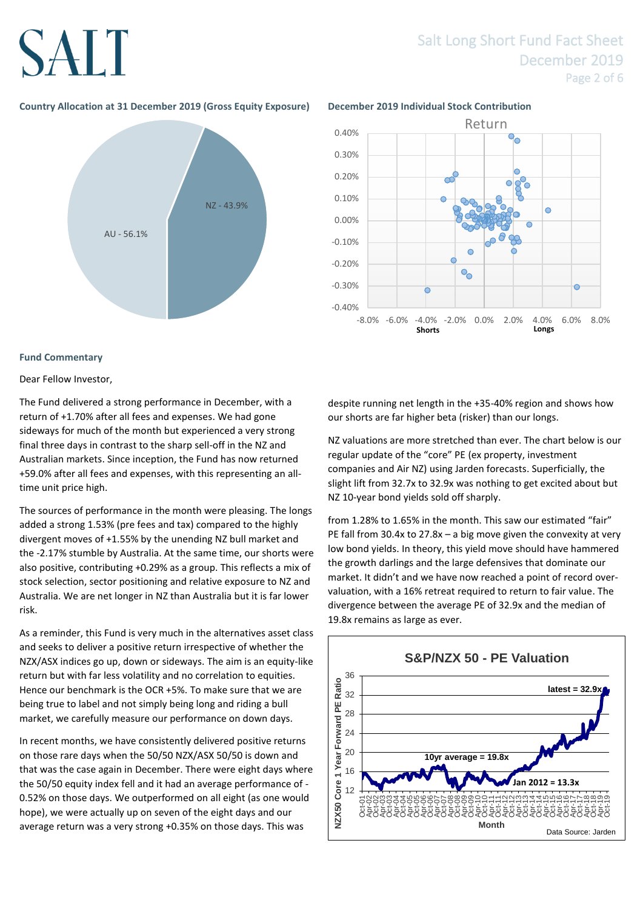# **SALT**

### Salt Long Short Fund Fact Sheet December 2019 Page 2 of 6

### **Country Allocation at 31 December 2019 (Gross Equity Exposure) December 2019 Individual Stock Contribution**



#### **Fund Commentary**

#### Dear Fellow Investor,

The Fund delivered a strong performance in December, with a return of +1.70% after all fees and expenses. We had gone sideways for much of the month but experienced a very strong final three days in contrast to the sharp sell-off in the NZ and Australian markets. Since inception, the Fund has now returned +59.0% after all fees and expenses, with this representing an alltime unit price high.

The sources of performance in the month were pleasing. The longs added a strong 1.53% (pre fees and tax) compared to the highly divergent moves of +1.55% by the unending NZ bull market and the -2.17% stumble by Australia. At the same time, our shorts were also positive, contributing +0.29% as a group. This reflects a mix of stock selection, sector positioning and relative exposure to NZ and Australia. We are net longer in NZ than Australia but it is far lower risk.

As a reminder, this Fund is very much in the alternatives asset class and seeks to deliver a positive return irrespective of whether the NZX/ASX indices go up, down or sideways. The aim is an equity-like return but with far less volatility and no correlation to equities. Hence our benchmark is the OCR +5%. To make sure that we are being true to label and not simply being long and riding a bull market, we carefully measure our performance on down days.

In recent months, we have consistently delivered positive returns on those rare days when the 50/50 NZX/ASX 50/50 is down and that was the case again in December. There were eight days where the 50/50 equity index fell and it had an average performance of - 0.52% on those days. We outperformed on all eight (as one would hope), we were actually up on seven of the eight days and our average return was a very strong +0.35% on those days. This was



despite running net length in the +35-40% region and shows how our shorts are far higher beta (risker) than our longs.

NZ valuations are more stretched than ever. The chart below is our regular update of the "core" PE (ex property, investment companies and Air NZ) using Jarden forecasts. Superficially, the slight lift from 32.7x to 32.9x was nothing to get excited about but NZ 10-year bond yields sold off sharply.

from 1.28% to 1.65% in the month. This saw our estimated "fair" PE fall from 30.4x to 27.8x – a big move given the convexity at very low bond yields. In theory, this yield move should have hammered the growth darlings and the large defensives that dominate our market. It didn't and we have now reached a point of record overvaluation, with a 16% retreat required to return to fair value. The divergence between the average PE of 32.9x and the median of 19.8x remains as large as ever.

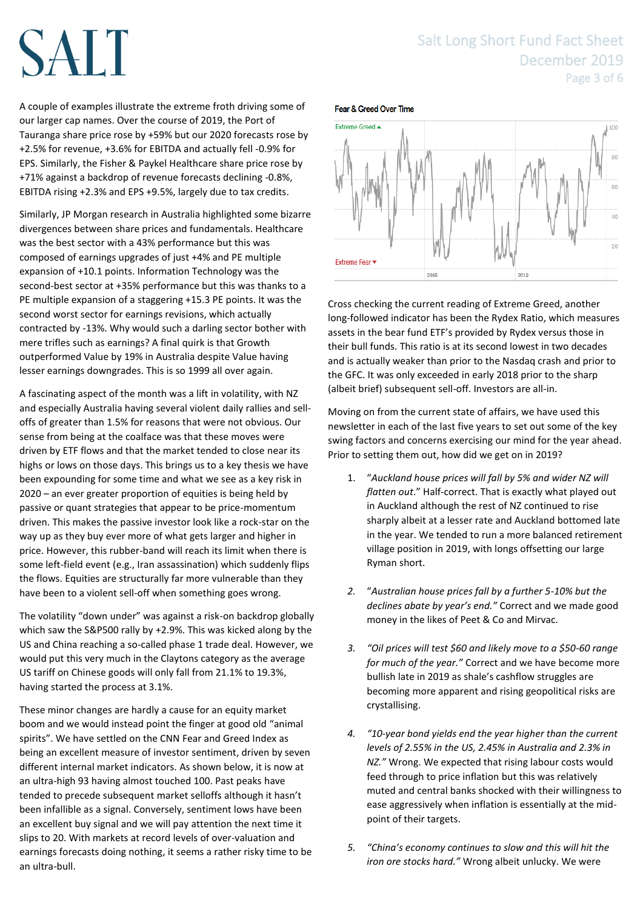### Salt Long Short Fund Fact Sheet December 2019 Page 3 of 6

# SALT

A couple of examples illustrate the extreme froth driving some of our larger cap names. Over the course of 2019, the Port of Tauranga share price rose by +59% but our 2020 forecasts rose by +2.5% for revenue, +3.6% for EBITDA and actually fell -0.9% for EPS. Similarly, the Fisher & Paykel Healthcare share price rose by +71% against a backdrop of revenue forecasts declining -0.8%, EBITDA rising +2.3% and EPS +9.5%, largely due to tax credits.

Similarly, JP Morgan research in Australia highlighted some bizarre divergences between share prices and fundamentals. Healthcare was the best sector with a 43% performance but this was composed of earnings upgrades of just +4% and PE multiple expansion of +10.1 points. Information Technology was the second-best sector at +35% performance but this was thanks to a PE multiple expansion of a staggering +15.3 PE points. It was the second worst sector for earnings revisions, which actually contracted by -13%. Why would such a darling sector bother with mere trifles such as earnings? A final quirk is that Growth outperformed Value by 19% in Australia despite Value having lesser earnings downgrades. This is so 1999 all over again.

A fascinating aspect of the month was a lift in volatility, with NZ and especially Australia having several violent daily rallies and selloffs of greater than 1.5% for reasons that were not obvious. Our sense from being at the coalface was that these moves were driven by ETF flows and that the market tended to close near its highs or lows on those days. This brings us to a key thesis we have been expounding for some time and what we see as a key risk in 2020 – an ever greater proportion of equities is being held by passive or quant strategies that appear to be price-momentum driven. This makes the passive investor look like a rock-star on the way up as they buy ever more of what gets larger and higher in price. However, this rubber-band will reach its limit when there is some left-field event (e.g., Iran assassination) which suddenly flips the flows. Equities are structurally far more vulnerable than they have been to a violent sell-off when something goes wrong.

The volatility "down under" was against a risk-on backdrop globally which saw the S&P500 rally by +2.9%. This was kicked along by the US and China reaching a so-called phase 1 trade deal. However, we would put this very much in the Claytons category as the average US tariff on Chinese goods will only fall from 21.1% to 19.3%, having started the process at 3.1%.

These minor changes are hardly a cause for an equity market boom and we would instead point the finger at good old "animal spirits". We have settled on the CNN Fear and Greed Index as being an excellent measure of investor sentiment, driven by seven different internal market indicators. As shown below, it is now at an ultra-high 93 having almost touched 100. Past peaks have tended to precede subsequent market selloffs although it hasn't been infallible as a signal. Conversely, sentiment lows have been an excellent buy signal and we will pay attention the next time it slips to 20. With markets at record levels of over-valuation and earnings forecasts doing nothing, it seems a rather risky time to be an ultra-bull.

#### Fear & Greed Over Time



Cross checking the current reading of Extreme Greed, another long-followed indicator has been the Rydex Ratio, which measures assets in the bear fund ETF's provided by Rydex versus those in their bull funds. This ratio is at its second lowest in two decades and is actually weaker than prior to the Nasdaq crash and prior to the GFC. It was only exceeded in early 2018 prior to the sharp (albeit brief) subsequent sell-off. Investors are all-in.

Moving on from the current state of affairs, we have used this newsletter in each of the last five years to set out some of the key swing factors and concerns exercising our mind for the year ahead. Prior to setting them out, how did we get on in 2019?

- 1. "*Auckland house prices will fall by 5% and wider NZ will flatten out*." Half-correct. That is exactly what played out in Auckland although the rest of NZ continued to rise sharply albeit at a lesser rate and Auckland bottomed late in the year. We tended to run a more balanced retirement village position in 2019, with longs offsetting our large Ryman short.
- *2.* "*Australian house prices fall by a further 5-10% but the declines abate by year's end."* Correct and we made good money in the likes of Peet & Co and Mirvac.
- *3. "Oil prices will test \$60 and likely move to a \$50-60 range for much of the year."* Correct and we have become more bullish late in 2019 as shale's cashflow struggles are becoming more apparent and rising geopolitical risks are crystallising.
- *4. "10-year bond yields end the year higher than the current levels of 2.55% in the US, 2.45% in Australia and 2.3% in NZ."* Wrong. We expected that rising labour costs would feed through to price inflation but this was relatively muted and central banks shocked with their willingness to ease aggressively when inflation is essentially at the midpoint of their targets.
- *5. "China's economy continues to slow and this will hit the iron ore stocks hard."* Wrong albeit unlucky. We were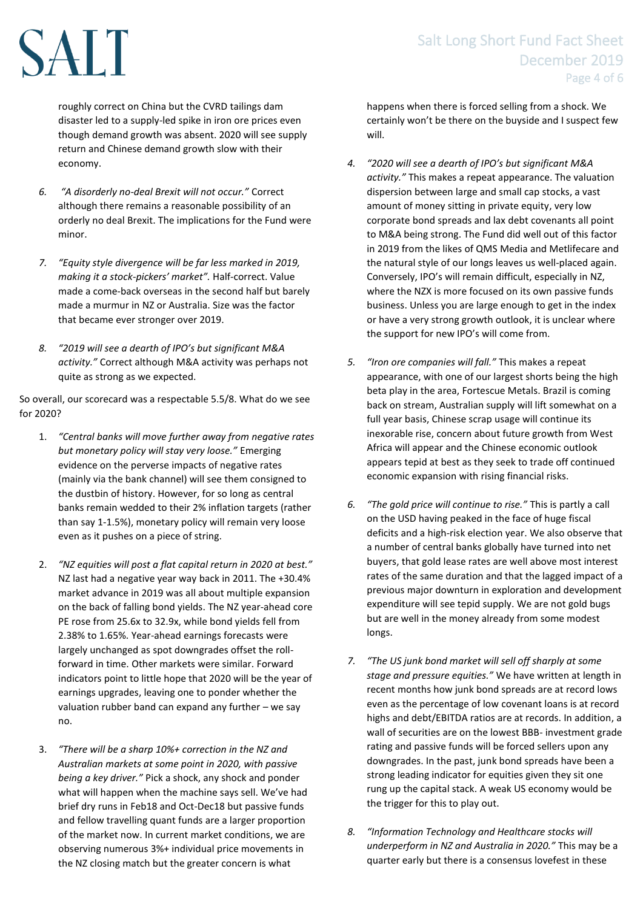# SALT

roughly correct on China but the CVRD tailings dam disaster led to a supply-led spike in iron ore prices even though demand growth was absent. 2020 will see supply return and Chinese demand growth slow with their economy.

- *6. "A disorderly no-deal Brexit will not occur."* Correct although there remains a reasonable possibility of an orderly no deal Brexit. The implications for the Fund were minor.
- *7. "Equity style divergence will be far less marked in 2019, making it a stock-pickers' market".* Half-correct. Value made a come-back overseas in the second half but barely made a murmur in NZ or Australia. Size was the factor that became ever stronger over 2019.
- *8. "2019 will see a dearth of IPO's but significant M&A activity."* Correct although M&A activity was perhaps not quite as strong as we expected.

So overall, our scorecard was a respectable 5.5/8. What do we see for 2020?

- 1. *"Central banks will move further away from negative rates but monetary policy will stay very loose."* Emerging evidence on the perverse impacts of negative rates (mainly via the bank channel) will see them consigned to the dustbin of history. However, for so long as central banks remain wedded to their 2% inflation targets (rather than say 1-1.5%), monetary policy will remain very loose even as it pushes on a piece of string.
- 2. *"NZ equities will post a flat capital return in 2020 at best."*  NZ last had a negative year way back in 2011. The +30.4% market advance in 2019 was all about multiple expansion on the back of falling bond yields. The NZ year-ahead core PE rose from 25.6x to 32.9x, while bond yields fell from 2.38% to 1.65%. Year-ahead earnings forecasts were largely unchanged as spot downgrades offset the rollforward in time. Other markets were similar. Forward indicators point to little hope that 2020 will be the year of earnings upgrades, leaving one to ponder whether the valuation rubber band can expand any further – we say no.
- 3. *"There will be a sharp 10%+ correction in the NZ and Australian markets at some point in 2020, with passive being a key driver."* Pick a shock, any shock and ponder what will happen when the machine says sell. We've had brief dry runs in Feb18 and Oct-Dec18 but passive funds and fellow travelling quant funds are a larger proportion of the market now. In current market conditions, we are observing numerous 3%+ individual price movements in the NZ closing match but the greater concern is what

## Salt Long Short Fund Fact Sheet December 2019 Page 4 of 6

happens when there is forced selling from a shock. We certainly won't be there on the buyside and I suspect few will.

- *4. "2020 will see a dearth of IPO's but significant M&A activity."* This makes a repeat appearance. The valuation dispersion between large and small cap stocks, a vast amount of money sitting in private equity, very low corporate bond spreads and lax debt covenants all point to M&A being strong. The Fund did well out of this factor in 2019 from the likes of QMS Media and Metlifecare and the natural style of our longs leaves us well-placed again. Conversely, IPO's will remain difficult, especially in NZ, where the NZX is more focused on its own passive funds business. Unless you are large enough to get in the index or have a very strong growth outlook, it is unclear where the support for new IPO's will come from.
- *5. "Iron ore companies will fall."* This makes a repeat appearance, with one of our largest shorts being the high beta play in the area, Fortescue Metals. Brazil is coming back on stream, Australian supply will lift somewhat on a full year basis, Chinese scrap usage will continue its inexorable rise, concern about future growth from West Africa will appear and the Chinese economic outlook appears tepid at best as they seek to trade off continued economic expansion with rising financial risks.
- *6. "The gold price will continue to rise."* This is partly a call on the USD having peaked in the face of huge fiscal deficits and a high-risk election year. We also observe that a number of central banks globally have turned into net buyers, that gold lease rates are well above most interest rates of the same duration and that the lagged impact of a previous major downturn in exploration and development expenditure will see tepid supply. We are not gold bugs but are well in the money already from some modest longs.
- *7. "The US junk bond market will sell off sharply at some stage and pressure equities."* We have written at length in recent months how junk bond spreads are at record lows even as the percentage of low covenant loans is at record highs and debt/EBITDA ratios are at records. In addition, a wall of securities are on the lowest BBB- investment grade rating and passive funds will be forced sellers upon any downgrades. In the past, junk bond spreads have been a strong leading indicator for equities given they sit one rung up the capital stack. A weak US economy would be the trigger for this to play out.
- *8. "Information Technology and Healthcare stocks will underperform in NZ and Australia in 2020."* This may be a quarter early but there is a consensus lovefest in these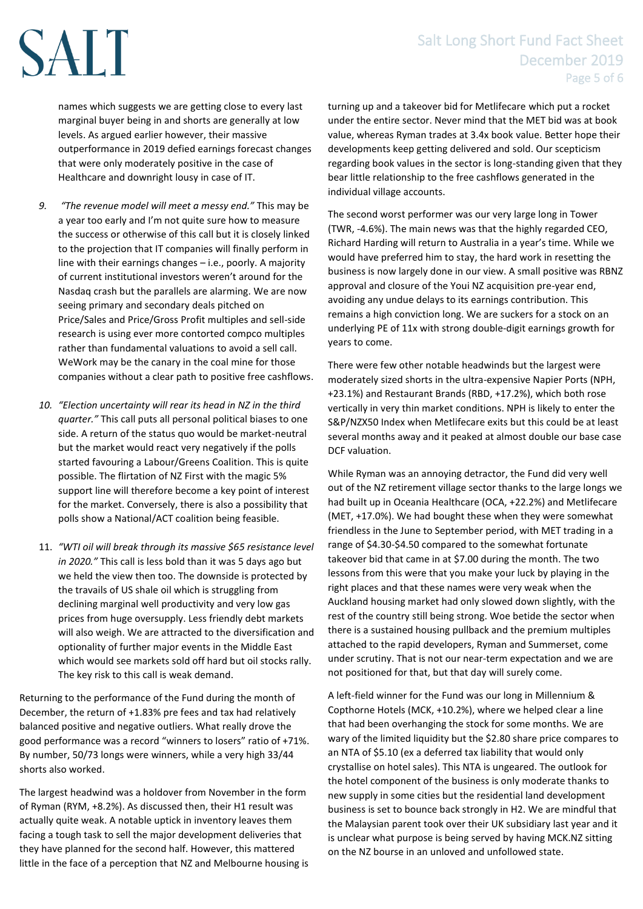## Salt Long Short Fund Fact Sheet December 2019 Page 5 of 6

names which suggests we are getting close to every last marginal buyer being in and shorts are generally at low levels. As argued earlier however, their massive outperformance in 2019 defied earnings forecast changes that were only moderately positive in the case of Healthcare and downright lousy in case of IT.

SALT

- *9. "The revenue model will meet a messy end."* This may be a year too early and I'm not quite sure how to measure the success or otherwise of this call but it is closely linked to the projection that IT companies will finally perform in line with their earnings changes – i.e., poorly. A majority of current institutional investors weren't around for the Nasdaq crash but the parallels are alarming. We are now seeing primary and secondary deals pitched on Price/Sales and Price/Gross Profit multiples and sell-side research is using ever more contorted compco multiples rather than fundamental valuations to avoid a sell call. WeWork may be the canary in the coal mine for those companies without a clear path to positive free cashflows.
- *10. "Election uncertainty will rear its head in NZ in the third quarter."* This call puts all personal political biases to one side. A return of the status quo would be market-neutral but the market would react very negatively if the polls started favouring a Labour/Greens Coalition. This is quite possible. The flirtation of NZ First with the magic 5% support line will therefore become a key point of interest for the market. Conversely, there is also a possibility that polls show a National/ACT coalition being feasible.
- 11. *"WTI oil will break through its massive \$65 resistance level in 2020."* This call is less bold than it was 5 days ago but we held the view then too. The downside is protected by the travails of US shale oil which is struggling from declining marginal well productivity and very low gas prices from huge oversupply. Less friendly debt markets will also weigh. We are attracted to the diversification and optionality of further major events in the Middle East which would see markets sold off hard but oil stocks rally. The key risk to this call is weak demand.

Returning to the performance of the Fund during the month of December, the return of +1.83% pre fees and tax had relatively balanced positive and negative outliers. What really drove the good performance was a record "winners to losers" ratio of +71%. By number, 50/73 longs were winners, while a very high 33/44 shorts also worked.

The largest headwind was a holdover from November in the form of Ryman (RYM, +8.2%). As discussed then, their H1 result was actually quite weak. A notable uptick in inventory leaves them facing a tough task to sell the major development deliveries that they have planned for the second half. However, this mattered little in the face of a perception that NZ and Melbourne housing is turning up and a takeover bid for Metlifecare which put a rocket under the entire sector. Never mind that the MET bid was at book value, whereas Ryman trades at 3.4x book value. Better hope their developments keep getting delivered and sold. Our scepticism regarding book values in the sector is long-standing given that they bear little relationship to the free cashflows generated in the individual village accounts.

The second worst performer was our very large long in Tower (TWR, -4.6%). The main news was that the highly regarded CEO, Richard Harding will return to Australia in a year's time. While we would have preferred him to stay, the hard work in resetting the business is now largely done in our view. A small positive was RBNZ approval and closure of the Youi NZ acquisition pre-year end, avoiding any undue delays to its earnings contribution. This remains a high conviction long. We are suckers for a stock on an underlying PE of 11x with strong double-digit earnings growth for years to come.

There were few other notable headwinds but the largest were moderately sized shorts in the ultra-expensive Napier Ports (NPH, +23.1%) and Restaurant Brands (RBD, +17.2%), which both rose vertically in very thin market conditions. NPH is likely to enter the S&P/NZX50 Index when Metlifecare exits but this could be at least several months away and it peaked at almost double our base case DCF valuation.

While Ryman was an annoying detractor, the Fund did very well out of the NZ retirement village sector thanks to the large longs we had built up in Oceania Healthcare (OCA, +22.2%) and Metlifecare (MET, +17.0%). We had bought these when they were somewhat friendless in the June to September period, with MET trading in a range of \$4.30-\$4.50 compared to the somewhat fortunate takeover bid that came in at \$7.00 during the month. The two lessons from this were that you make your luck by playing in the right places and that these names were very weak when the Auckland housing market had only slowed down slightly, with the rest of the country still being strong. Woe betide the sector when there is a sustained housing pullback and the premium multiples attached to the rapid developers, Ryman and Summerset, come under scrutiny. That is not our near-term expectation and we are not positioned for that, but that day will surely come.

A left-field winner for the Fund was our long in Millennium & Copthorne Hotels (MCK, +10.2%), where we helped clear a line that had been overhanging the stock for some months. We are wary of the limited liquidity but the \$2.80 share price compares to an NTA of \$5.10 (ex a deferred tax liability that would only crystallise on hotel sales). This NTA is ungeared. The outlook for the hotel component of the business is only moderate thanks to new supply in some cities but the residential land development business is set to bounce back strongly in H2. We are mindful that the Malaysian parent took over their UK subsidiary last year and it is unclear what purpose is being served by having MCK.NZ sitting on the NZ bourse in an unloved and unfollowed state.